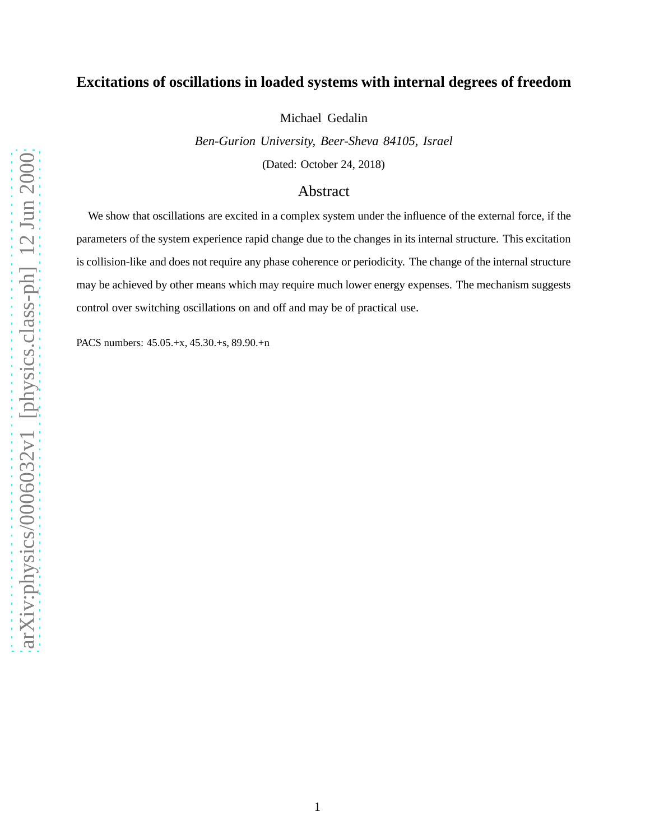## **Excitations of oscillations in loaded systems with internal degrees of freedom**

Michael Gedalin

*Ben-Gurion University, Beer-Sheva 84105, Israel* (Dated: October 24, 2018)

## Abstract

We show that oscillations are excited in a complex system under the influence of the external force, if the parameters of the system experience rapid change due to the changes in its internal structure. This excitation is collision-like and does not require any phase coherence or periodicity. The change of the internal structure may be achieved by other means which may require much lower energy expenses. The mechanism suggests control over switching oscillations on and off and may be of practical use.

PACS numbers: 45.05.+x, 45.30.+s, 89.90.+n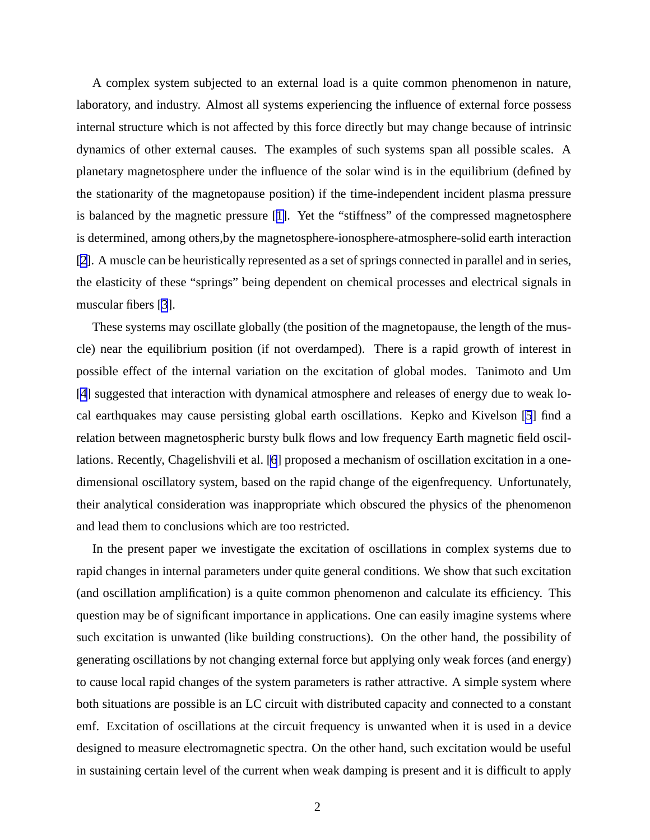A complex system subjected to an external load is a quite common phenomenon in nature, laboratory, and industry. Almost all systems experiencing the influence of external force possess internal structure which is not affected by this force directly but may change because of intrinsic dynamics of other external causes. The examples of such systems span all possible scales. A planetary magnetosphere under the influence of the solar wind is in the equilibrium (defined by the stationarity of the magnetopause position) if the time-independent incident plasma pressure is balanced by the magnetic pressure [[1\]](#page-7-0). Yet the "stiffness" of the compressed magnetosphere is determined, among others,by the magnetosphere-ionosphere-atmosphere-solid earth interaction [[2\]](#page-7-0). A muscle can be heuristically represented as a set of springs connected in parallel and in series, the elasticity of these "springs" being dependent on chemical processes and electrical signals in muscular fibers [\[3](#page-7-0)].

These systems may oscillate globally (the position of the magnetopause, the length of the muscle) near the equilibrium position (if not overdamped). There is a rapid growth of interest in possible effect of the internal variation on the excitation of global modes. Tanimoto and Um [[4\]](#page-7-0) suggested that interaction with dynamical atmosphere and releases of energy due to weak local earthquakes may cause persisting global earth oscillations. Kepko and Kivelson [\[5](#page-7-0)] find a relation between magnetospheric bursty bulk flows and low frequency Earth magnetic field oscillations. Recently, Chagelishvili et al. [\[6](#page-7-0)] proposed a mechanism of oscillation excitation in a onedimensional oscillatory system, based on the rapid change of the eigenfrequency. Unfortunately, their analytical consideration was inappropriate which obscured the physics of the phenomenon and lead them to conclusions which are too restricted.

In the present paper we investigate the excitation of oscillations in complex systems due to rapid changes in internal parameters under quite general conditions. We show that such excitation (and oscillation amplification) is a quite common phenomenon and calculate its efficiency. This question may be of significant importance in applications. One can easily imagine systems where such excitation is unwanted (like building constructions). On the other hand, the possibility of generating oscillations by not changing external force but applying only weak forces (and energy) to cause local rapid changes of the system parameters is rather attractive. A simple system where both situations are possible is an LC circuit with distributed capacity and connected to a constant emf. Excitation of oscillations at the circuit frequency is unwanted when it is used in a device designed to measure electromagnetic spectra. On the other hand, such excitation would be useful in sustaining certain level of the current when weak damping is present and it is difficult to apply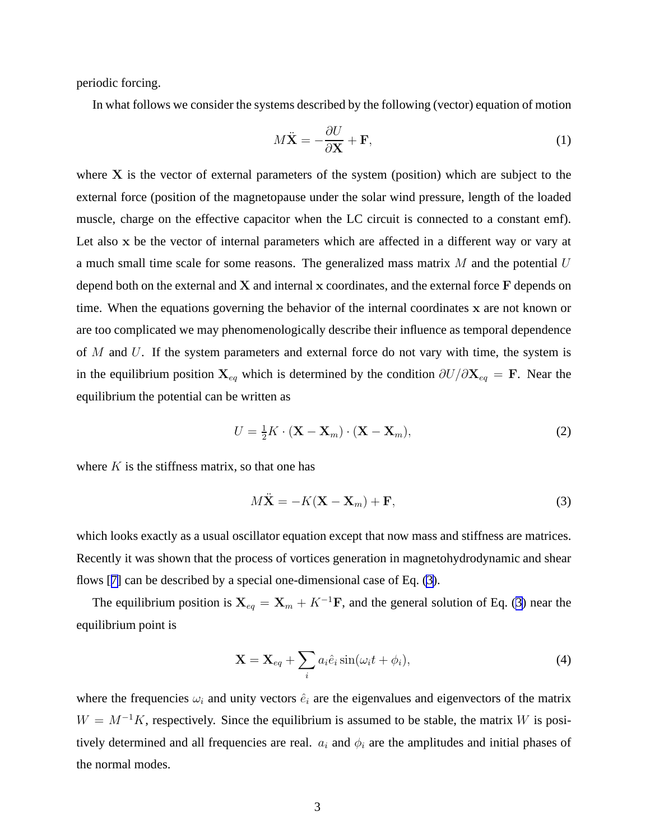<span id="page-2-0"></span>periodic forcing.

In what follows we consider the systems described by the following (vector) equation of motion

$$
M\ddot{\mathbf{X}} = -\frac{\partial U}{\partial \mathbf{X}} + \mathbf{F},\tag{1}
$$

where  $X$  is the vector of external parameters of the system (position) which are subject to the external force (position of the magnetopause under the solar wind pressure, length of the loaded muscle, charge on the effective capacitor when the LC circuit is connected to a constant emf). Let also x be the vector of internal parameters which are affected in a different way or vary at a much small time scale for some reasons. The generalized mass matrix  $M$  and the potential  $U$ depend both on the external and  $X$  and internal  $x$  coordinates, and the external force  $F$  depends on time. When the equations governing the behavior of the internal coordinates x are not known or are too complicated we may phenomenologically describe their influence as temporal dependence of  $M$  and  $U$ . If the system parameters and external force do not vary with time, the system is in the equilibrium position  $X_{eq}$  which is determined by the condition  $\partial U/\partial X_{eq} = F$ . Near the equilibrium the potential can be written as

$$
U = \frac{1}{2}K \cdot (\mathbf{X} - \mathbf{X}_m) \cdot (\mathbf{X} - \mathbf{X}_m),
$$
\n(2)

where  $K$  is the stiffness matrix, so that one has

$$
M\ddot{\mathbf{X}} = -K(\mathbf{X} - \mathbf{X}_m) + \mathbf{F},\tag{3}
$$

which looks exactly as a usual oscillator equation except that now mass and stiffness are matrices. Recently it was shown that the process of vortices generation in magnetohydrodynamic and shear flows [[7\]](#page-8-0) can be described by a special one-dimensional case of Eq. (3).

The equilibrium position is  $X_{eq} = X_m + K^{-1}F$ , and the general solution of Eq. (3) near the equilibrium point is

$$
\mathbf{X} = \mathbf{X}_{eq} + \sum_{i} a_i \hat{e}_i \sin(\omega_i t + \phi_i), \tag{4}
$$

where the frequencies  $\omega_i$  and unity vectors  $\hat{e}_i$  are the eigenvalues and eigenvectors of the matrix  $W = M^{-1}K$ , respectively. Since the equilibrium is assumed to be stable, the matrix W is positively determined and all frequencies are real.  $a_i$  and  $\phi_i$  are the amplitudes and initial phases of the normal modes.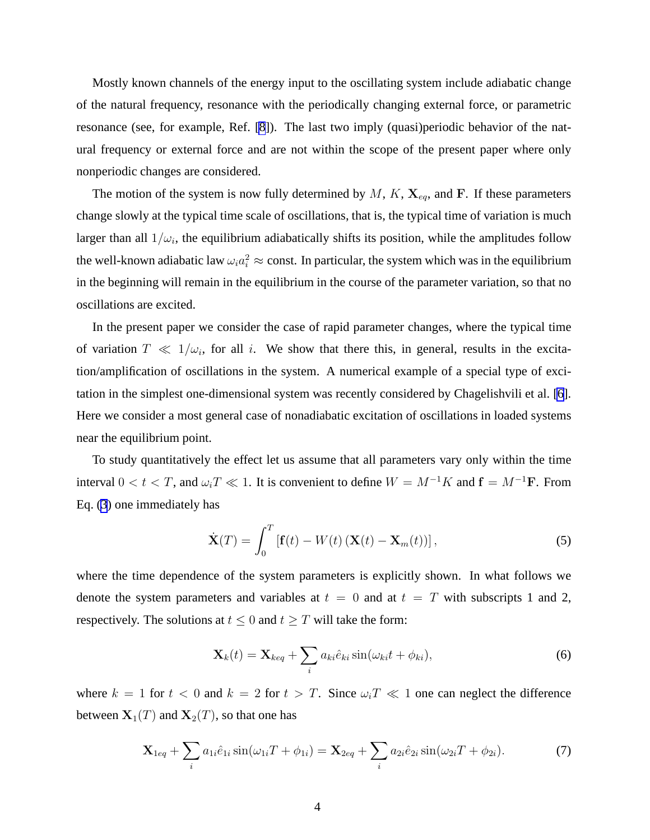<span id="page-3-0"></span>Mostly known channels of the energy input to the oscillating system include adiabatic change of the natural frequency, resonance with the periodically changing external force, or parametric resonance (see, for example, Ref. [\[8](#page-8-0)]). The last two imply (quasi)periodic behavior of the natural frequency or external force and are not within the scope of the present paper where only nonperiodic changes are considered.

The motion of the system is now fully determined by  $M$ ,  $K$ ,  $\mathbf{X}_{eq}$ , and F. If these parameters change slowly at the typical time scale of oscillations, that is, the typical time of variation is much larger than all  $1/\omega_i$ , the equilibrium adiabatically shifts its position, while the amplitudes follow the well-known adiabatic law  $\omega_i a_i^2 \approx \text{const.}$  In particular, the system which was in the equilibrium in the beginning will remain in the equilibrium in the course of the parameter variation, so that no oscillations are excited.

In the present paper we consider the case of rapid parameter changes, where the typical time of variation  $T \ll 1/\omega_i$ , for all i. We show that there this, in general, results in the excitation/amplification of oscillations in the system. A numerical example of a special type of excitation in the simplest one-dimensional system was recently considered by Chagelishvili et al. [\[6](#page-7-0)]. Here we consider a most general case of nonadiabatic excitation of oscillations in loaded systems near the equilibrium point.

To study quantitatively the effect let us assume that all parameters vary only within the time interval  $0 < t < T$ , and  $\omega_i T \ll 1$ . It is convenient to define  $W = M^{-1}K$  and  $f = M^{-1}F$ . From Eq. [\(3](#page-2-0)) one immediately has

$$
\dot{\mathbf{X}}(T) = \int_0^T \left[ \mathbf{f}(t) - W(t) \left( \mathbf{X}(t) - \mathbf{X}_m(t) \right) \right],\tag{5}
$$

where the time dependence of the system parameters is explicitly shown. In what follows we denote the system parameters and variables at  $t = 0$  and at  $t = T$  with subscripts 1 and 2, respectively. The solutions at  $t \leq 0$  and  $t \geq T$  will take the form:

$$
\mathbf{X}_k(t) = \mathbf{X}_{keq} + \sum_i a_{ki} \hat{e}_{ki} \sin(\omega_{ki} t + \phi_{ki}), \qquad (6)
$$

where  $k = 1$  for  $t < 0$  and  $k = 2$  for  $t > T$ . Since  $\omega_i T \ll 1$  one can neglect the difference between  $X_1(T)$  and  $X_2(T)$ , so that one has

$$
\mathbf{X}_{1eq} + \sum_{i} a_{1i} \hat{e}_{1i} \sin(\omega_{1i} T + \phi_{1i}) = \mathbf{X}_{2eq} + \sum_{i} a_{2i} \hat{e}_{2i} \sin(\omega_{2i} T + \phi_{2i}). \tag{7}
$$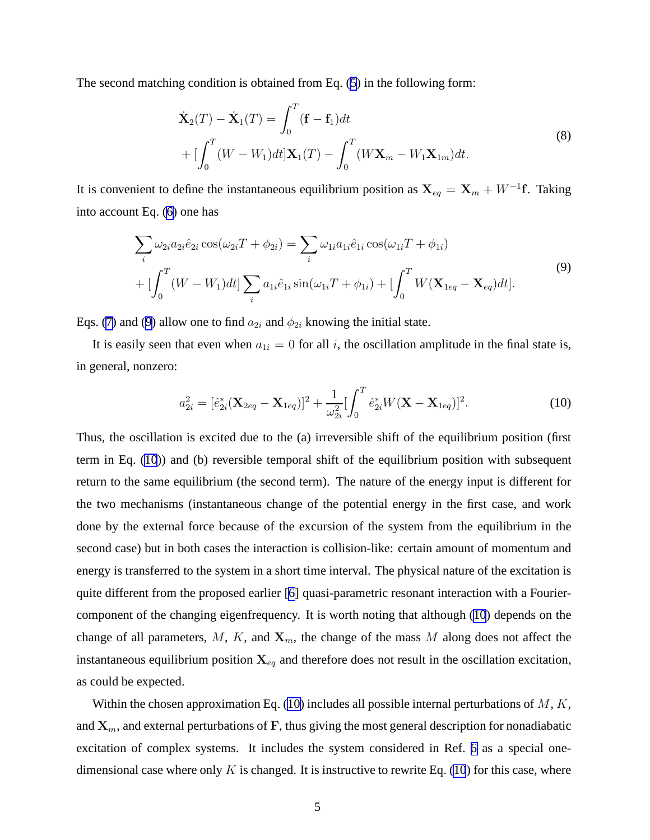<span id="page-4-0"></span>The second matching condition is obtained from Eq. [\(5](#page-3-0)) in the following form:

$$
\dot{\mathbf{X}}_2(T) - \dot{\mathbf{X}}_1(T) = \int_0^T (\mathbf{f} - \mathbf{f}_1) dt
$$
\n
$$
+ \left[ \int_0^T (W - W_1) dt \right] \mathbf{X}_1(T) - \int_0^T (W \mathbf{X}_m - W_1 \mathbf{X}_{1m}) dt.
$$
\n(8)

It is convenient to define the instantaneous equilibrium position as  $\mathbf{X}_{eq} = \mathbf{X}_m + W^{-1}\mathbf{f}$ . Taking into account Eq. ([6\)](#page-3-0) one has

$$
\sum_{i} \omega_{2i} a_{2i} \hat{e}_{2i} \cos(\omega_{2i} T + \phi_{2i}) = \sum_{i} \omega_{1i} a_{1i} \hat{e}_{1i} \cos(\omega_{1i} T + \phi_{1i}) + [\int_{0}^{T} (W - W_{1}) dt] \sum_{i} a_{1i} \hat{e}_{1i} \sin(\omega_{1i} T + \phi_{1i}) + [\int_{0}^{T} W(\mathbf{X}_{1eq} - \mathbf{X}_{eq}) dt].
$$
\n(9)

Eqs. ([7\)](#page-3-0) and (9) allow one to find  $a_{2i}$  and  $\phi_{2i}$  knowing the initial state.

It is easily seen that even when  $a_{1i} = 0$  for all i, the oscillation amplitude in the final state is, in general, nonzero:

$$
a_{2i}^2 = [\hat{e}_{2i}^*(\mathbf{X}_{2eq} - \mathbf{X}_{1eq})]^2 + \frac{1}{\omega_{2i}^2} [\int_0^T \hat{e}_{2i}^* W(\mathbf{X} - \mathbf{X}_{1eq})]^2.
$$
 (10)

Thus, the oscillation is excited due to the (a) irreversible shift of the equilibrium position (first term in Eq. (10)) and (b) reversible temporal shift of the equilibrium position with subsequent return to the same equilibrium (the second term). The nature of the energy input is different for the two mechanisms (instantaneous change of the potential energy in the first case, and work done by the external force because of the excursion of the system from the equilibrium in the second case) but in both cases the interaction is collision-like: certain amount of momentum and energy is transferred to the system in a short time interval. The physical nature of the excitation is quite different from the proposed earlier [[6\]](#page-7-0) quasi-parametric resonant interaction with a Fouriercomponent of the changing eigenfrequency. It is worth noting that although (10) depends on the change of all parameters, M, K, and  $X_m$ , the change of the mass M along does not affect the instantaneous equilibrium position  $X_{eq}$  and therefore does not result in the oscillation excitation, as could be expected.

Within the chosen approximation Eq. (10) includes all possible internal perturbations of  $M, K$ , and  $X_m$ , and external perturbations of F, thus giving the most general description for nonadiabatic excitation of complex systems. It includes the system considered in Ref. [6](#page-7-0) as a special onedimensional case where only  $K$  is changed. It is instructive to rewrite Eq. (10) for this case, where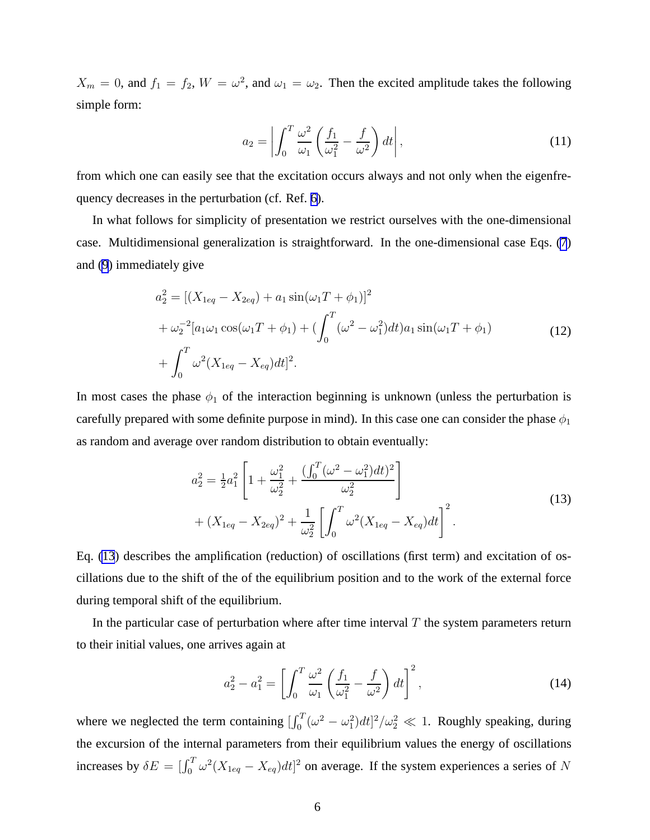<span id="page-5-0"></span> $X_m = 0$ , and  $f_1 = f_2$ ,  $W = \omega^2$ , and  $\omega_1 = \omega_2$ . Then the excited amplitude takes the following simple form:

$$
a_2 = \left| \int_0^T \frac{\omega^2}{\omega_1} \left( \frac{f_1}{\omega_1^2} - \frac{f}{\omega^2} \right) dt \right|,
$$
\n(11)

from which one can easily see that the excitation occurs always and not only when the eigenfrequency decreases in the perturbation (cf. Ref. [6\)](#page-7-0).

In what follows for simplicity of presentation we restrict ourselves with the one-dimensional case. Multidimensional generalization is straightforward. In the one-dimensional case Eqs. [\(7](#page-3-0)) and [\(9](#page-4-0)) immediately give

$$
a_2^2 = [(X_{1eq} - X_{2eq}) + a_1 \sin(\omega_1 T + \phi_1)]^2
$$
  
+  $\omega_2^{-2} [a_1 \omega_1 \cos(\omega_1 T + \phi_1) + (\int_0^T (\omega^2 - \omega_1^2) dt) a_1 \sin(\omega_1 T + \phi_1)$   
+  $\int_0^T \omega^2 (X_{1eq} - X_{eq}) dt]^2$ . (12)

In most cases the phase  $\phi_1$  of the interaction beginning is unknown (unless the perturbation is carefully prepared with some definite purpose in mind). In this case one can consider the phase  $\phi_1$ as random and average over random distribution to obtain eventually:

$$
a_2^2 = \frac{1}{2}a_1^2 \left[ 1 + \frac{\omega_1^2}{\omega_2^2} + \frac{\left(\int_0^T (\omega^2 - \omega_1^2) dt\right)^2}{\omega_2^2} \right] + (X_{1eq} - X_{2eq})^2 + \frac{1}{\omega_2^2} \left[ \int_0^T \omega^2 (X_{1eq} - X_{eq}) dt \right]^2.
$$
 (13)

Eq. (13) describes the amplification (reduction) of oscillations (first term) and excitation of oscillations due to the shift of the of the equilibrium position and to the work of the external force during temporal shift of the equilibrium.

In the particular case of perturbation where after time interval  $T$  the system parameters return to their initial values, one arrives again at

$$
a_2^2 - a_1^2 = \left[ \int_0^T \frac{\omega^2}{\omega_1} \left( \frac{f_1}{\omega_1^2} - \frac{f}{\omega^2} \right) dt \right]^2, \tag{14}
$$

where we neglected the term containing  $\left[\int_0^T (\omega^2 - \omega_1^2) dt\right]^2/\omega_2^2 \ll 1$ . Roughly speaking, during the excursion of the internal parameters from their equilibrium values the energy of oscillations increases by  $\delta E = \int_0^T \omega^2 (X_{1eq} - X_{eq}) dt]^2$  on average. If the system experiences a series of N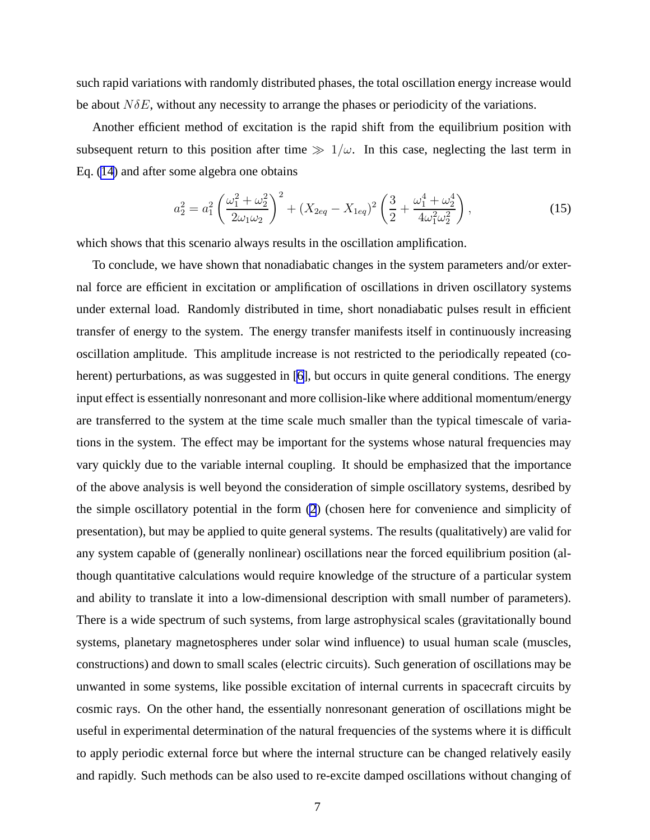such rapid variations with randomly distributed phases, the total oscillation energy increase would be about  $N\delta E$ , without any necessity to arrange the phases or periodicity of the variations.

Another efficient method of excitation is the rapid shift from the equilibrium position with subsequent return to this position after time  $\gg 1/\omega$ . In this case, neglecting the last term in Eq. [\(14](#page-5-0)) and after some algebra one obtains

$$
a_2^2 = a_1^2 \left(\frac{\omega_1^2 + \omega_2^2}{2\omega_1\omega_2}\right)^2 + (X_{2eq} - X_{1eq})^2 \left(\frac{3}{2} + \frac{\omega_1^4 + \omega_2^4}{4\omega_1^2\omega_2^2}\right),\tag{15}
$$

which shows that this scenario always results in the oscillation amplification.

To conclude, we have shown that nonadiabatic changes in the system parameters and/or external force are efficient in excitation or amplification of oscillations in driven oscillatory systems under external load. Randomly distributed in time, short nonadiabatic pulses result in efficient transfer of energy to the system. The energy transfer manifests itself in continuously increasing oscillation amplitude. This amplitude increase is not restricted to the periodically repeated (co-herent) perturbations, as was suggested in [\[6](#page-7-0)], but occurs in quite general conditions. The energy input effect is essentially nonresonant and more collision-like where additional momentum/energy are transferred to the system at the time scale much smaller than the typical timescale of variations in the system. The effect may be important for the systems whose natural frequencies may vary quickly due to the variable internal coupling. It should be emphasized that the importance of the above analysis is well beyond the consideration of simple oscillatory systems, desribed by the simple oscillatory potential in the form [\(2](#page-2-0)) (chosen here for convenience and simplicity of presentation), but may be applied to quite general systems. The results (qualitatively) are valid for any system capable of (generally nonlinear) oscillations near the forced equilibrium position (although quantitative calculations would require knowledge of the structure of a particular system and ability to translate it into a low-dimensional description with small number of parameters). There is a wide spectrum of such systems, from large astrophysical scales (gravitationally bound systems, planetary magnetospheres under solar wind influence) to usual human scale (muscles, constructions) and down to small scales (electric circuits). Such generation of oscillations may be unwanted in some systems, like possible excitation of internal currents in spacecraft circuits by cosmic rays. On the other hand, the essentially nonresonant generation of oscillations might be useful in experimental determination of the natural frequencies of the systems where it is difficult to apply periodic external force but where the internal structure can be changed relatively easily and rapidly. Such methods can be also used to re-excite damped oscillations without changing of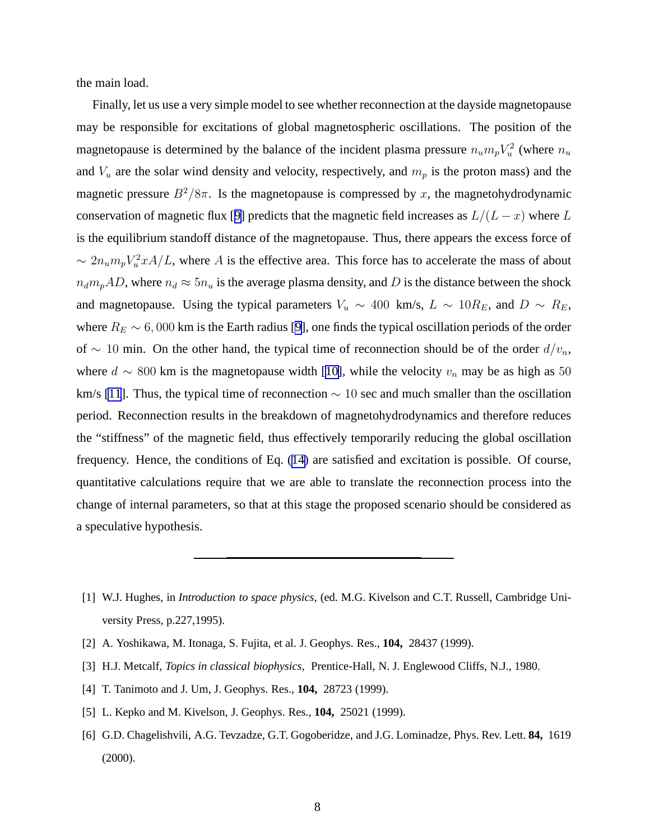<span id="page-7-0"></span>the main load.

Finally, let us use a very simple model to see whether reconnection at the dayside magnetopause may be responsible for excitations of global magnetospheric oscillations. The position of the magnetopause is determined by the balance of the incident plasma pressure  $n_u m_p V_u^2$  $u^2$  (where  $n_u$ and  $V_u$  are the solar wind density and velocity, respectively, and  $m_p$  is the proton mass) and the magnetic pressure  $B^2/8\pi$ . Is the magnetopause is compressed by x, the magnetohydrodynamic conservation of magnetic flux [[9\]](#page-8-0) predicts that the magnetic field increases as  $L/(L-x)$  where L is the equilibrium standoff distance of the magnetopause. Thus, there appears the excess force of  $\sim 2n_u m_p V_u^2 x A/L$ , where A is the effective area. This force has to accelerate the mass of about  $n_d m_p AD$ , where  $n_d \approx 5n_u$  is the average plasma density, and D is the distance between the shock and magnetopause. Using the typical parameters  $V_u \sim 400 \text{ km/s}, L \sim 10 R_E$ , and  $D \sim R_E$ , where  $R_E \sim 6,000$  km is the Earth radius [\[9](#page-8-0)], one finds the typical oscillation periods of the order of ∼ 10 min. On the other hand, the typical time of reconnection should be of the order  $d/v_n$ , where  $d \sim 800$  km is the magnetopause width [[10\]](#page-8-0), while the velocity  $v_n$  may be as high as 50 km/s [\[11](#page-8-0)]. Thus, the typical time of reconnection  $\sim$  10 sec and much smaller than the oscillation period. Reconnection results in the breakdown of magnetohydrodynamics and therefore reduces the "stiffness" of the magnetic field, thus effectively temporarily reducing the global oscillation frequency. Hence, the conditions of Eq. ([14\)](#page-5-0) are satisfied and excitation is possible. Of course, quantitative calculations require that we are able to translate the reconnection process into the change of internal parameters, so that at this stage the proposed scenario should be considered as a speculative hypothesis.

- [2] A. Yoshikawa, M. Itonaga, S. Fujita, et al. J. Geophys. Res., **104,** 28437 (1999).
- [3] H.J. Metcalf, *Topics in classical biophysics,* Prentice-Hall, N. J. Englewood Cliffs, N.J., 1980.
- [4] T. Tanimoto and J. Um, J. Geophys. Res., **104,** 28723 (1999).
- [5] L. Kepko and M. Kivelson, J. Geophys. Res., **104,** 25021 (1999).
- [6] G.D. Chagelishvili, A.G. Tevzadze, G.T. Gogoberidze, and J.G. Lominadze, Phys. Rev. Lett. **84,** 1619 (2000).

<sup>[1]</sup> W.J. Hughes, in *Introduction to space physics,* (ed. M.G. Kivelson and C.T. Russell, Cambridge University Press, p.227,1995).